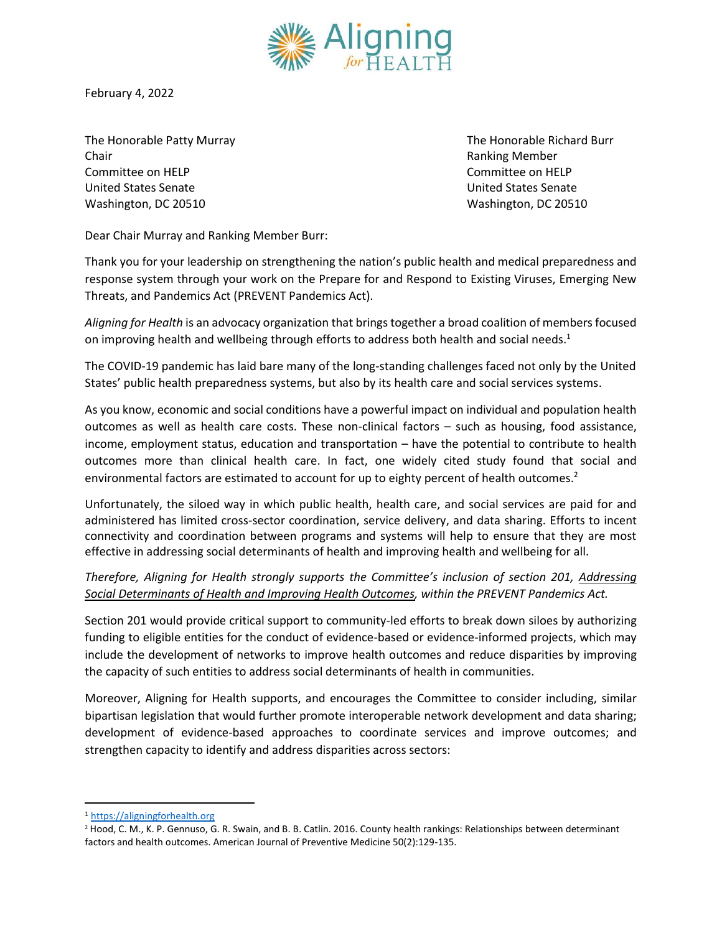

February 4, 2022

The Honorable Patty Murray New York 1988 and The Honorable Richard Burr and The Honorable Richard Burr Chair Ranking Member Committee on HELP Committee on HELP United States Senate United States Senate Washington, DC 20510 Washington, DC 20510

Dear Chair Murray and Ranking Member Burr:

Thank you for your leadership on strengthening the nation's public health and medical preparedness and response system through your work on the Prepare for and Respond to Existing Viruses, Emerging New Threats, and Pandemics Act (PREVENT Pandemics Act).

*Aligning for Health* is an advocacy organization that brings together a broad coalition of members focused on improving health and wellbeing through efforts to address both health and social needs.<sup>1</sup>

The COVID-19 pandemic has laid bare many of the long-standing challenges faced not only by the United States' public health preparedness systems, but also by its health care and social services systems.

As you know, economic and social conditions have a powerful impact on individual and population health outcomes as well as health care costs. These non-clinical factors – such as housing, food assistance, income, employment status, education and transportation – have the potential to contribute to health outcomes more than clinical health care. In fact, one widely cited study found that social and environmental factors are estimated to account for up to eighty percent of health outcomes.<sup>2</sup>

Unfortunately, the siloed way in which public health, health care, and social services are paid for and administered has limited cross-sector coordination, service delivery, and data sharing. Efforts to incent connectivity and coordination between programs and systems will help to ensure that they are most effective in addressing social determinants of health and improving health and wellbeing for all.

## *Therefore, Aligning for Health strongly supports the Committee's inclusion of section 201, Addressing Social Determinants of Health and Improving Health Outcomes, within the PREVENT Pandemics Act.*

Section 201 would provide critical support to community-led efforts to break down siloes by authorizing funding to eligible entities for the conduct of evidence-based or evidence-informed projects, which may include the development of networks to improve health outcomes and reduce disparities by improving the capacity of such entities to address social determinants of health in communities.

Moreover, Aligning for Health supports, and encourages the Committee to consider including, similar bipartisan legislation that would further promote interoperable network development and data sharing; development of evidence-based approaches to coordinate services and improve outcomes; and strengthen capacity to identify and address disparities across sectors:

<sup>1</sup> [https://aligningforhealth.org](https://aligningforhealth.org/)

<sup>2</sup> Hood, C. M., K. P. Gennuso, G. R. Swain, and B. B. Catlin. 2016. County health rankings: Relationships between determinant factors and health outcomes. American Journal of Preventive Medicine 50(2):129-135.